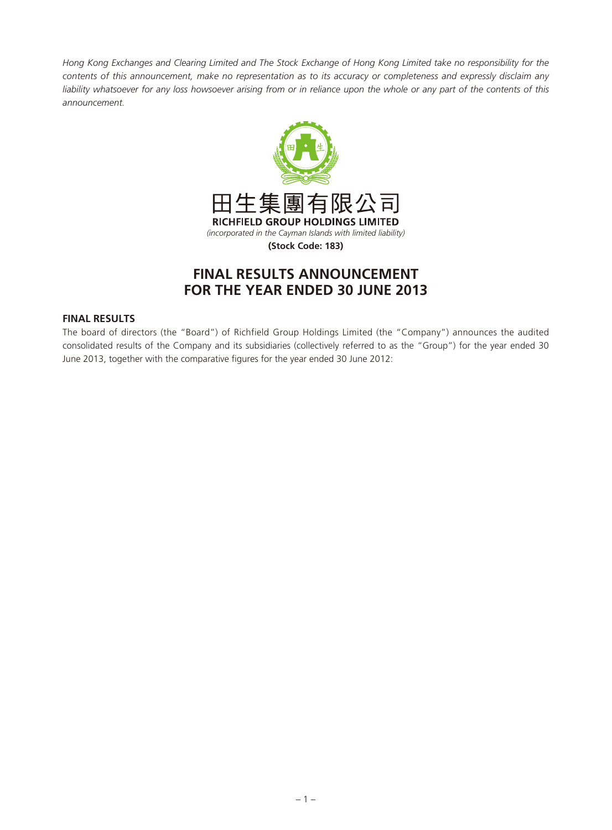*Hong Kong Exchanges and Clearing Limited and The Stock Exchange of Hong Kong Limited take no responsibility for the contents of this announcement, make no representation as to its accuracy or completeness and expressly disclaim any*  liability whatsoever for any loss howsoever arising from or in reliance upon the whole or any part of the contents of this *announcement.*



# **FINAL RESULTS ANNOUNCEMENT FOR THE YEAR ENDED 30 JUNE 2013**

# **FINAL RESULTS**

The board of directors (the "Board") of Richfield Group Holdings Limited (the "Company") announces the audited consolidated results of the Company and its subsidiaries (collectively referred to as the "Group") for the year ended 30 June 2013, together with the comparative figures for the year ended 30 June 2012: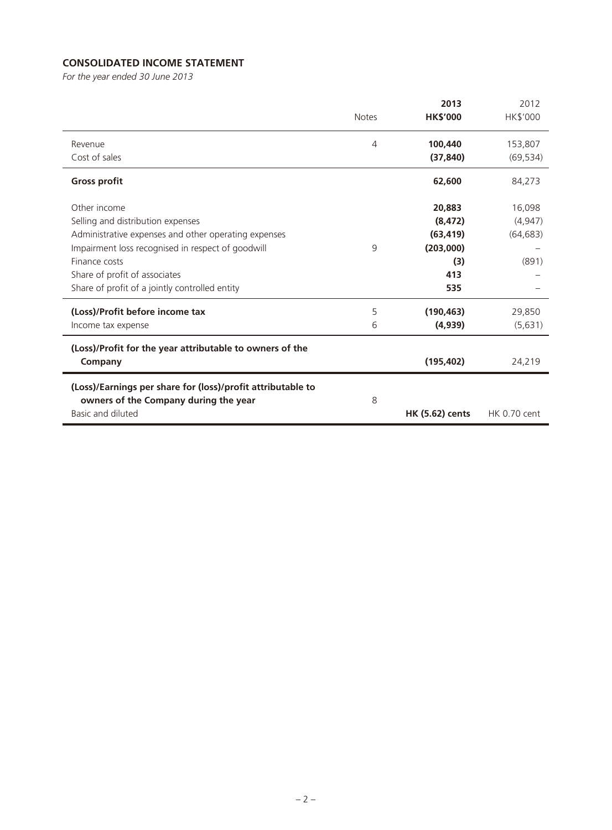# **CONSOLIDATED INCOME STATEMENT**

*For the year ended 30 June 2013*

|                                                             |              | 2013                   | 2012            |
|-------------------------------------------------------------|--------------|------------------------|-----------------|
|                                                             | <b>Notes</b> | <b>HK\$'000</b>        | <b>HK\$'000</b> |
| Revenue                                                     | 4            | 100,440                | 153,807         |
| Cost of sales                                               |              | (37, 840)              | (69, 534)       |
| <b>Gross profit</b>                                         |              | 62,600                 | 84,273          |
| Other income                                                |              | 20,883                 | 16,098          |
| Selling and distribution expenses                           |              | (8, 472)               | (4,947)         |
| Administrative expenses and other operating expenses        |              | (63, 419)              | (64, 683)       |
| Impairment loss recognised in respect of goodwill           | 9            | (203,000)              |                 |
| Finance costs                                               |              | (3)                    | (891)           |
| Share of profit of associates                               |              | 413                    |                 |
| Share of profit of a jointly controlled entity              |              | 535                    |                 |
| (Loss)/Profit before income tax                             | 5            | (190, 463)             | 29,850          |
| Income tax expense                                          | 6            | (4,939)                | (5,631)         |
| (Loss)/Profit for the year attributable to owners of the    |              |                        |                 |
| Company                                                     |              | (195, 402)             | 24,219          |
| (Loss)/Earnings per share for (loss)/profit attributable to |              |                        |                 |
| owners of the Company during the year                       | 8            |                        |                 |
| Basic and diluted                                           |              | <b>HK (5.62) cents</b> | HK 0.70 cent    |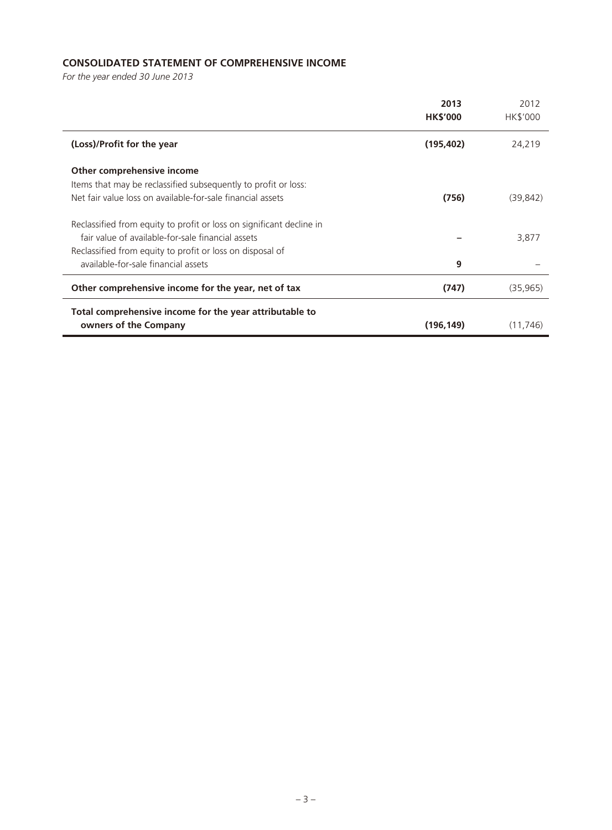# **CONSOLIDATED STATEMENT OF COMPREHENSIVE INCOME**

*For the year ended 30 June 2013*

|                                                                      | 2013<br><b>HK\$'000</b> | 2012<br>HK\$'000 |
|----------------------------------------------------------------------|-------------------------|------------------|
| (Loss)/Profit for the year                                           | (195, 402)              | 24,219           |
| Other comprehensive income                                           |                         |                  |
| Items that may be reclassified subsequently to profit or loss:       |                         |                  |
| Net fair value loss on available-for-sale financial assets           | (756)                   | (39, 842)        |
| Reclassified from equity to profit or loss on significant decline in |                         |                  |
| fair value of available-for-sale financial assets                    |                         | 3,877            |
| Reclassified from equity to profit or loss on disposal of            |                         |                  |
| available-for-sale financial assets                                  | 9                       |                  |
| Other comprehensive income for the year, net of tax                  | (747)                   | (35, 965)        |
| Total comprehensive income for the year attributable to              |                         |                  |
| owners of the Company                                                | (196, 149)              | (11, 746)        |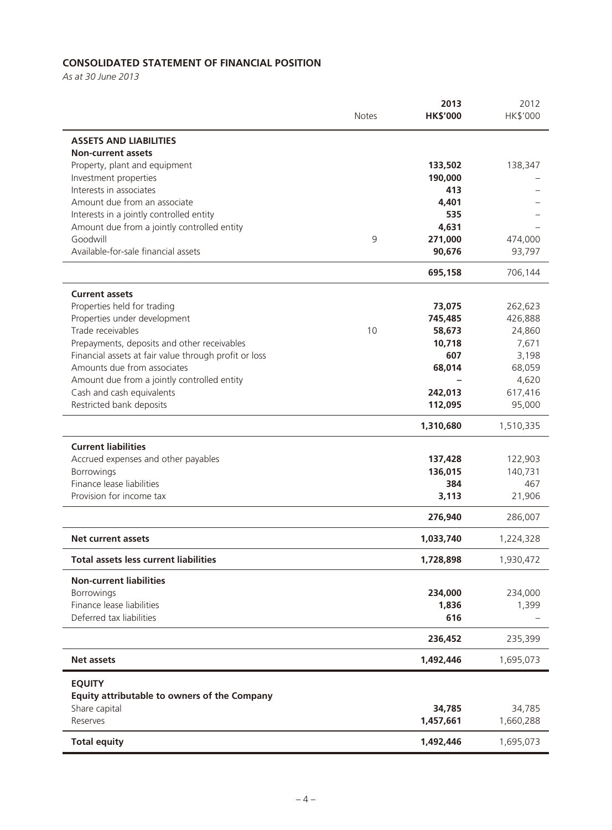# **CONSOLIDATED STATEMENT OF FINANCIAL POSITION**

*As at 30 June 2013*

|                                                       | <b>Notes</b> | 2013<br><b>HK\$'000</b> | 2012<br>HK\$'000 |
|-------------------------------------------------------|--------------|-------------------------|------------------|
| <b>ASSETS AND LIABILITIES</b>                         |              |                         |                  |
| <b>Non-current assets</b>                             |              |                         |                  |
| Property, plant and equipment                         |              | 133,502                 | 138,347          |
| Investment properties                                 |              | 190,000                 |                  |
| Interests in associates                               |              | 413                     |                  |
| Amount due from an associate                          |              | 4,401                   |                  |
| Interests in a jointly controlled entity              |              | 535                     |                  |
| Amount due from a jointly controlled entity           |              | 4,631                   |                  |
| Goodwill                                              | 9            | 271,000                 | 474,000          |
| Available-for-sale financial assets                   |              | 90,676                  | 93,797           |
|                                                       |              | 695,158                 | 706,144          |
| <b>Current assets</b>                                 |              |                         |                  |
| Properties held for trading                           |              | 73,075                  | 262,623          |
| Properties under development                          |              | 745,485                 | 426,888          |
| Trade receivables                                     | 10           | 58,673                  | 24,860           |
| Prepayments, deposits and other receivables           |              | 10,718                  | 7,671            |
| Financial assets at fair value through profit or loss |              | 607                     | 3,198            |
| Amounts due from associates                           |              | 68,014                  | 68,059           |
| Amount due from a jointly controlled entity           |              |                         | 4,620            |
| Cash and cash equivalents                             |              | 242,013                 | 617,416          |
| Restricted bank deposits                              |              | 112,095                 | 95,000           |
|                                                       |              | 1,310,680               | 1,510,335        |
| <b>Current liabilities</b>                            |              |                         |                  |
| Accrued expenses and other payables                   |              | 137,428                 | 122,903          |
| Borrowings                                            |              | 136,015                 | 140,731          |
| Finance lease liabilities                             |              | 384                     | 467              |
| Provision for income tax                              |              | 3,113                   | 21,906           |
|                                                       |              | 276,940                 | 286,007          |
| <b>Net current assets</b>                             |              | 1,033,740               | 1,224,328        |
| <b>Total assets less current liabilities</b>          |              | 1,728,898               | 1,930,472        |
| <b>Non-current liabilities</b>                        |              |                         |                  |
| <b>Borrowings</b>                                     |              | 234,000                 | 234,000          |
| Finance lease liabilities                             |              | 1,836                   | 1,399            |
| Deferred tax liabilities                              |              | 616                     |                  |
|                                                       |              | 236,452                 | 235,399          |
| <b>Net assets</b>                                     |              | 1,492,446               | 1,695,073        |
| <b>EQUITY</b>                                         |              |                         |                  |
| Equity attributable to owners of the Company          |              |                         |                  |
| Share capital                                         |              | 34,785                  | 34,785           |
| Reserves                                              |              | 1,457,661               | 1,660,288        |
| <b>Total equity</b>                                   |              | 1,492,446               | 1,695,073        |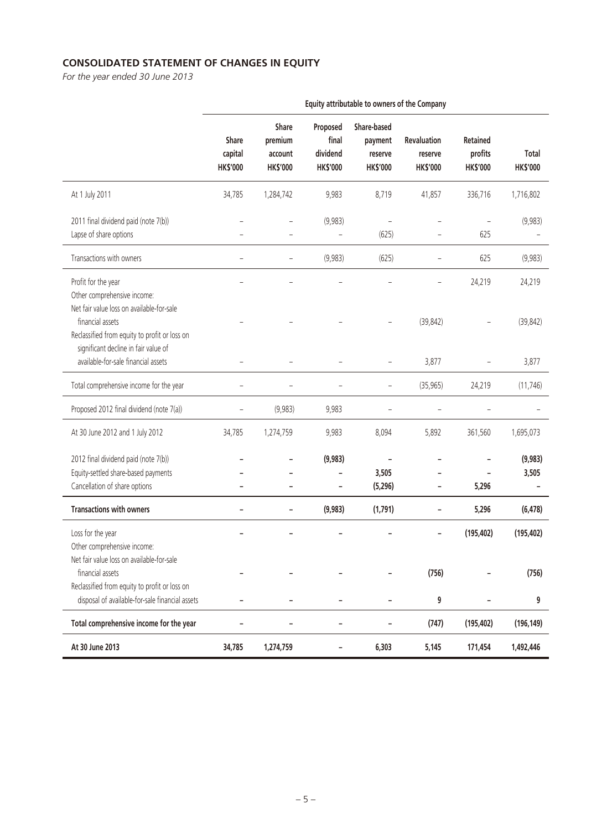# **CONSOLIDATED STATEMENT OF CHANGES IN EQUITY**

*For the year ended 30 June 2013*

|                                                                                                                                                  | Equity attributable to owners of the Company |                                                |                                                  |                                                      |                                                  |                                               |                                 |
|--------------------------------------------------------------------------------------------------------------------------------------------------|----------------------------------------------|------------------------------------------------|--------------------------------------------------|------------------------------------------------------|--------------------------------------------------|-----------------------------------------------|---------------------------------|
|                                                                                                                                                  | Share<br>capital<br><b>HK\$'000</b>          | Share<br>premium<br>account<br><b>HK\$'000</b> | Proposed<br>final<br>dividend<br><b>HK\$'000</b> | Share-based<br>payment<br>reserve<br><b>HK\$'000</b> | <b>Revaluation</b><br>reserve<br><b>HK\$'000</b> | <b>Retained</b><br>profits<br><b>HK\$'000</b> | <b>Total</b><br><b>HK\$'000</b> |
| At 1 July 2011                                                                                                                                   | 34,785                                       | 1,284,742                                      | 9,983                                            | 8,719                                                | 41,857                                           | 336,716                                       | 1,716,802                       |
| 2011 final dividend paid (note 7(b))<br>Lapse of share options                                                                                   |                                              |                                                | (9,983)                                          | (625)                                                |                                                  | 625                                           | (9,983)                         |
| Transactions with owners                                                                                                                         |                                              |                                                | (9,983)                                          | (625)                                                |                                                  | 625                                           | (9,983)                         |
| Profit for the year<br>Other comprehensive income:<br>Net fair value loss on available-for-sale                                                  |                                              |                                                |                                                  |                                                      |                                                  | 24,219                                        | 24,219                          |
| financial assets<br>Reclassified from equity to profit or loss on<br>significant decline in fair value of<br>available-for-sale financial assets | $\overline{\phantom{0}}$                     | $\overline{\phantom{0}}$                       | $\overline{\phantom{0}}$                         |                                                      | (39, 842)<br>3,877                               |                                               | (39, 842)<br>3,877              |
|                                                                                                                                                  |                                              |                                                |                                                  |                                                      |                                                  |                                               |                                 |
| Total comprehensive income for the year                                                                                                          |                                              |                                                |                                                  | $\overline{\phantom{0}}$                             | (35, 965)                                        | 24,219                                        | (11, 746)                       |
| Proposed 2012 final dividend (note 7(a))                                                                                                         |                                              | (9,983)                                        | 9,983                                            |                                                      |                                                  |                                               |                                 |
| At 30 June 2012 and 1 July 2012                                                                                                                  | 34,785                                       | 1,274,759                                      | 9,983                                            | 8,094                                                | 5,892                                            | 361,560                                       | 1,695,073                       |
| 2012 final dividend paid (note 7(b))<br>Equity-settled share-based payments<br>Cancellation of share options                                     |                                              |                                                | (9,983)                                          | 3,505<br>(5,296)                                     |                                                  | 5,296                                         | (9,983)<br>3,505                |
| <b>Transactions with owners</b>                                                                                                                  |                                              | -                                              | (9,983)                                          | (1,791)                                              |                                                  | 5,296                                         | (6, 478)                        |
| Loss for the year<br>Other comprehensive income:<br>Net fair value loss on available-for-sale                                                    |                                              |                                                |                                                  |                                                      |                                                  | (195, 402)                                    | (195, 402)                      |
| financial assets<br>Reclassified from equity to profit or loss on                                                                                |                                              |                                                |                                                  |                                                      | (756)                                            |                                               | (756)                           |
| disposal of available-for-sale financial assets                                                                                                  |                                              |                                                |                                                  |                                                      | 9                                                |                                               | 9                               |
| Total comprehensive income for the year                                                                                                          |                                              |                                                | ۰                                                |                                                      | (747)                                            | (195, 402)                                    | (196, 149)                      |
| At 30 June 2013                                                                                                                                  | 34,785                                       | 1,274,759                                      |                                                  | 6,303                                                | 5,145                                            | 171,454                                       | 1,492,446                       |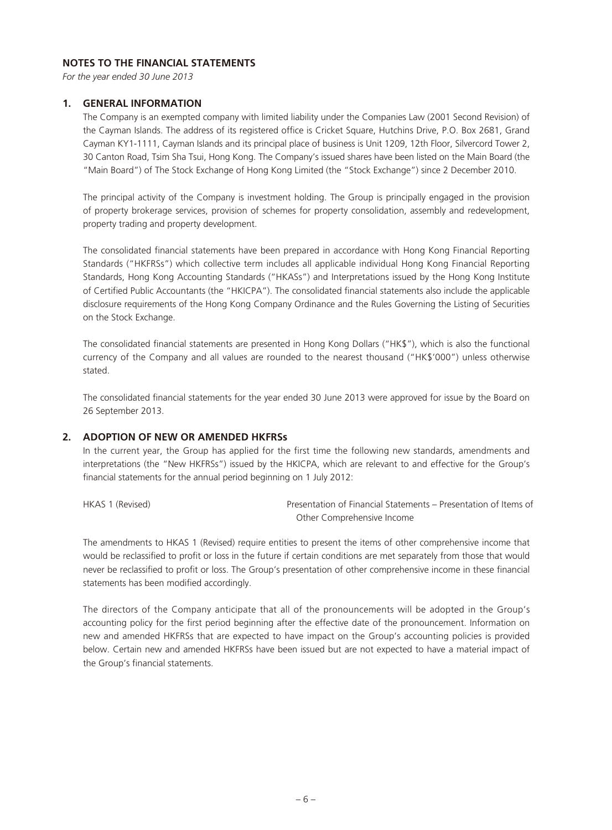# **NOTES TO THE FINANCIAL STATEMENTS**

*For the year ended 30 June 2013*

#### **1. GENERAL INFORMATION**

The Company is an exempted company with limited liability under the Companies Law (2001 Second Revision) of the Cayman Islands. The address of its registered office is Cricket Square, Hutchins Drive, P.O. Box 2681, Grand Cayman KY1-1111, Cayman Islands and its principal place of business is Unit 1209, 12th Floor, Silvercord Tower 2, 30 Canton Road, Tsim Sha Tsui, Hong Kong. The Company's issued shares have been listed on the Main Board (the "Main Board") of The Stock Exchange of Hong Kong Limited (the "Stock Exchange") since 2 December 2010.

The principal activity of the Company is investment holding. The Group is principally engaged in the provision of property brokerage services, provision of schemes for property consolidation, assembly and redevelopment, property trading and property development.

The consolidated financial statements have been prepared in accordance with Hong Kong Financial Reporting Standards ("HKFRSs") which collective term includes all applicable individual Hong Kong Financial Reporting Standards, Hong Kong Accounting Standards ("HKASs") and Interpretations issued by the Hong Kong Institute of Certified Public Accountants (the "HKICPA"). The consolidated financial statements also include the applicable disclosure requirements of the Hong Kong Company Ordinance and the Rules Governing the Listing of Securities on the Stock Exchange.

The consolidated financial statements are presented in Hong Kong Dollars ("HK\$"), which is also the functional currency of the Company and all values are rounded to the nearest thousand ("HK\$'000") unless otherwise stated.

The consolidated financial statements for the year ended 30 June 2013 were approved for issue by the Board on 26 September 2013.

#### **2. ADOPTION OF NEW OR AMENDED HKFRSs**

In the current year, the Group has applied for the first time the following new standards, amendments and interpretations (the "New HKFRSs") issued by the HKICPA, which are relevant to and effective for the Group's financial statements for the annual period beginning on 1 July 2012:

HKAS 1 (Revised) Presentation of Financial Statements – Presentation of Items of Other Comprehensive Income

The amendments to HKAS 1 (Revised) require entities to present the items of other comprehensive income that would be reclassified to profit or loss in the future if certain conditions are met separately from those that would never be reclassified to profit or loss. The Group's presentation of other comprehensive income in these financial statements has been modified accordingly.

The directors of the Company anticipate that all of the pronouncements will be adopted in the Group's accounting policy for the first period beginning after the effective date of the pronouncement. Information on new and amended HKFRSs that are expected to have impact on the Group's accounting policies is provided below. Certain new and amended HKFRSs have been issued but are not expected to have a material impact of the Group's financial statements.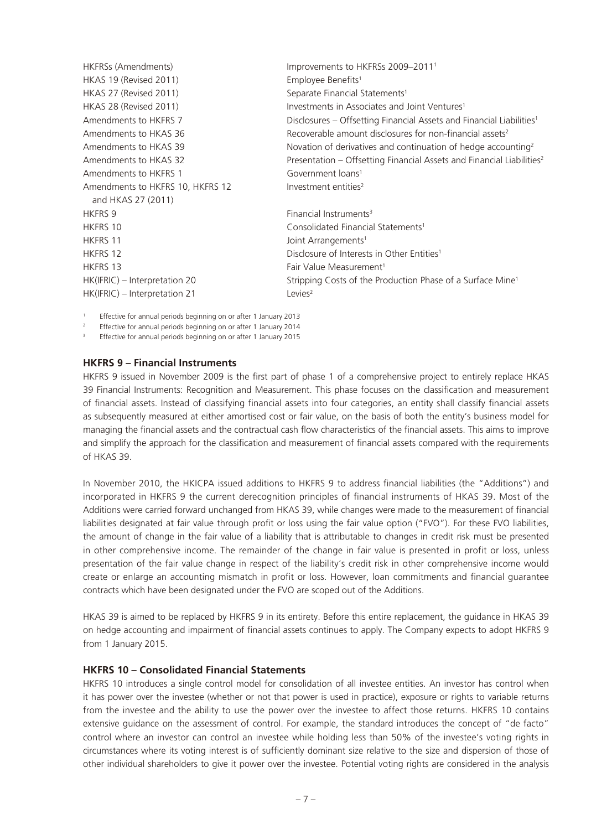| HKFRSs (Amendments)              | Improvements to HKFRSs 2009-2011 <sup>1</sup>                                     |
|----------------------------------|-----------------------------------------------------------------------------------|
| <b>HKAS 19 (Revised 2011)</b>    | Employee Benefits <sup>1</sup>                                                    |
| HKAS 27 (Revised 2011)           | Separate Financial Statements <sup>1</sup>                                        |
| HKAS 28 (Revised 2011)           | Investments in Associates and Joint Ventures <sup>1</sup>                         |
| Amendments to HKFRS 7            | Disclosures – Offsetting Financial Assets and Financial Liabilities <sup>1</sup>  |
| Amendments to HKAS 36            | Recoverable amount disclosures for non-financial assets <sup>2</sup>              |
| Amendments to HKAS 39            | Novation of derivatives and continuation of hedge accounting <sup>2</sup>         |
| Amendments to HKAS 32            | Presentation – Offsetting Financial Assets and Financial Liabilities <sup>2</sup> |
| Amendments to HKFRS 1            | Government loans <sup>1</sup>                                                     |
| Amendments to HKFRS 10, HKFRS 12 | Investment entities <sup>2</sup>                                                  |
| and HKAS 27 (2011)               |                                                                                   |
| <b>HKFRS 9</b>                   | Financial Instruments <sup>3</sup>                                                |
| <b>HKFRS 10</b>                  | Consolidated Financial Statements <sup>1</sup>                                    |
| <b>HKFRS 11</b>                  | Joint Arrangements <sup>1</sup>                                                   |
| <b>HKFRS 12</b>                  | Disclosure of Interests in Other Entities <sup>1</sup>                            |
| <b>HKFRS 13</b>                  | Fair Value Measurement <sup>1</sup>                                               |
| HK(IFRIC) - Interpretation 20    | Stripping Costs of the Production Phase of a Surface Mine <sup>1</sup>            |
| HK(IFRIC) – Interpretation 21    | Levies <sup>2</sup>                                                               |

1 Effective for annual periods beginning on or after 1 January 2013

2 Effective for annual periods beginning on or after 1 January 2014

Effective for annual periods beginning on or after 1 January 2015

#### **HKFRS 9 – Financial Instruments**

HKFRS 9 issued in November 2009 is the first part of phase 1 of a comprehensive project to entirely replace HKAS 39 Financial Instruments: Recognition and Measurement. This phase focuses on the classification and measurement of financial assets. Instead of classifying financial assets into four categories, an entity shall classify financial assets as subsequently measured at either amortised cost or fair value, on the basis of both the entity's business model for managing the financial assets and the contractual cash flow characteristics of the financial assets. This aims to improve and simplify the approach for the classification and measurement of financial assets compared with the requirements of HKAS 39.

In November 2010, the HKICPA issued additions to HKFRS 9 to address financial liabilities (the "Additions") and incorporated in HKFRS 9 the current derecognition principles of financial instruments of HKAS 39. Most of the Additions were carried forward unchanged from HKAS 39, while changes were made to the measurement of financial liabilities designated at fair value through profit or loss using the fair value option ("FVO"). For these FVO liabilities, the amount of change in the fair value of a liability that is attributable to changes in credit risk must be presented in other comprehensive income. The remainder of the change in fair value is presented in profit or loss, unless presentation of the fair value change in respect of the liability's credit risk in other comprehensive income would create or enlarge an accounting mismatch in profit or loss. However, loan commitments and financial guarantee contracts which have been designated under the FVO are scoped out of the Additions.

HKAS 39 is aimed to be replaced by HKFRS 9 in its entirety. Before this entire replacement, the guidance in HKAS 39 on hedge accounting and impairment of financial assets continues to apply. The Company expects to adopt HKFRS 9 from 1 January 2015.

#### **HKFRS 10 – Consolidated Financial Statements**

HKFRS 10 introduces a single control model for consolidation of all investee entities. An investor has control when it has power over the investee (whether or not that power is used in practice), exposure or rights to variable returns from the investee and the ability to use the power over the investee to affect those returns. HKFRS 10 contains extensive guidance on the assessment of control. For example, the standard introduces the concept of "de facto" control where an investor can control an investee while holding less than 50% of the investee's voting rights in circumstances where its voting interest is of sufficiently dominant size relative to the size and dispersion of those of other individual shareholders to give it power over the investee. Potential voting rights are considered in the analysis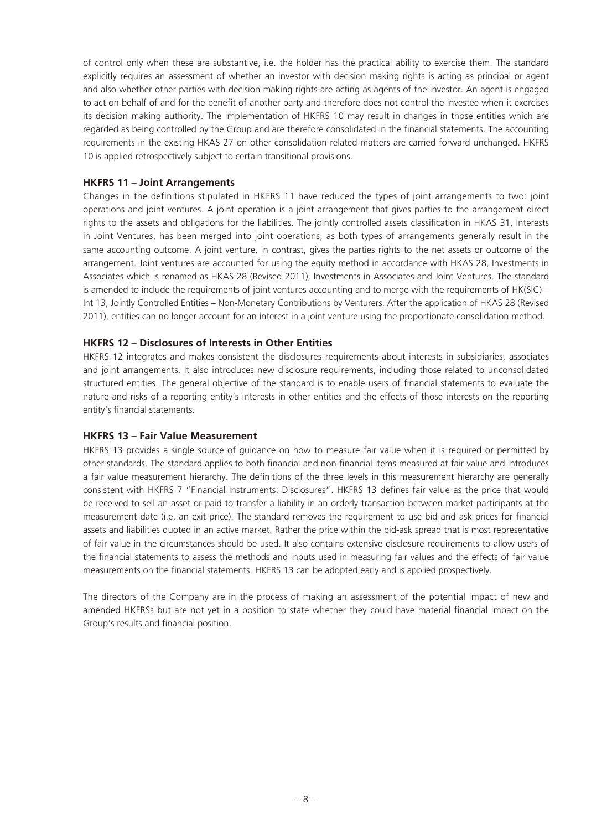of control only when these are substantive, i.e. the holder has the practical ability to exercise them. The standard explicitly requires an assessment of whether an investor with decision making rights is acting as principal or agent and also whether other parties with decision making rights are acting as agents of the investor. An agent is engaged to act on behalf of and for the benefit of another party and therefore does not control the investee when it exercises its decision making authority. The implementation of HKFRS 10 may result in changes in those entities which are regarded as being controlled by the Group and are therefore consolidated in the financial statements. The accounting requirements in the existing HKAS 27 on other consolidation related matters are carried forward unchanged. HKFRS 10 is applied retrospectively subject to certain transitional provisions.

# **HKFRS 11 – Joint Arrangements**

Changes in the definitions stipulated in HKFRS 11 have reduced the types of joint arrangements to two: joint operations and joint ventures. A joint operation is a joint arrangement that gives parties to the arrangement direct rights to the assets and obligations for the liabilities. The jointly controlled assets classification in HKAS 31, Interests in Joint Ventures, has been merged into joint operations, as both types of arrangements generally result in the same accounting outcome. A joint venture, in contrast, gives the parties rights to the net assets or outcome of the arrangement. Joint ventures are accounted for using the equity method in accordance with HKAS 28, Investments in Associates which is renamed as HKAS 28 (Revised 2011), Investments in Associates and Joint Ventures. The standard is amended to include the requirements of joint ventures accounting and to merge with the requirements of HK(SIC) – Int 13, Jointly Controlled Entities – Non-Monetary Contributions by Venturers. After the application of HKAS 28 (Revised 2011), entities can no longer account for an interest in a joint venture using the proportionate consolidation method.

# **HKFRS 12 – Disclosures of Interests in Other Entities**

HKFRS 12 integrates and makes consistent the disclosures requirements about interests in subsidiaries, associates and joint arrangements. It also introduces new disclosure requirements, including those related to unconsolidated structured entities. The general objective of the standard is to enable users of financial statements to evaluate the nature and risks of a reporting entity's interests in other entities and the effects of those interests on the reporting entity's financial statements.

# **HKFRS 13 – Fair Value Measurement**

HKFRS 13 provides a single source of guidance on how to measure fair value when it is required or permitted by other standards. The standard applies to both financial and non-financial items measured at fair value and introduces a fair value measurement hierarchy. The definitions of the three levels in this measurement hierarchy are generally consistent with HKFRS 7 "Financial Instruments: Disclosures". HKFRS 13 defines fair value as the price that would be received to sell an asset or paid to transfer a liability in an orderly transaction between market participants at the measurement date (i.e. an exit price). The standard removes the requirement to use bid and ask prices for financial assets and liabilities quoted in an active market. Rather the price within the bid-ask spread that is most representative of fair value in the circumstances should be used. It also contains extensive disclosure requirements to allow users of the financial statements to assess the methods and inputs used in measuring fair values and the effects of fair value measurements on the financial statements. HKFRS 13 can be adopted early and is applied prospectively.

The directors of the Company are in the process of making an assessment of the potential impact of new and amended HKFRSs but are not yet in a position to state whether they could have material financial impact on the Group's results and financial position.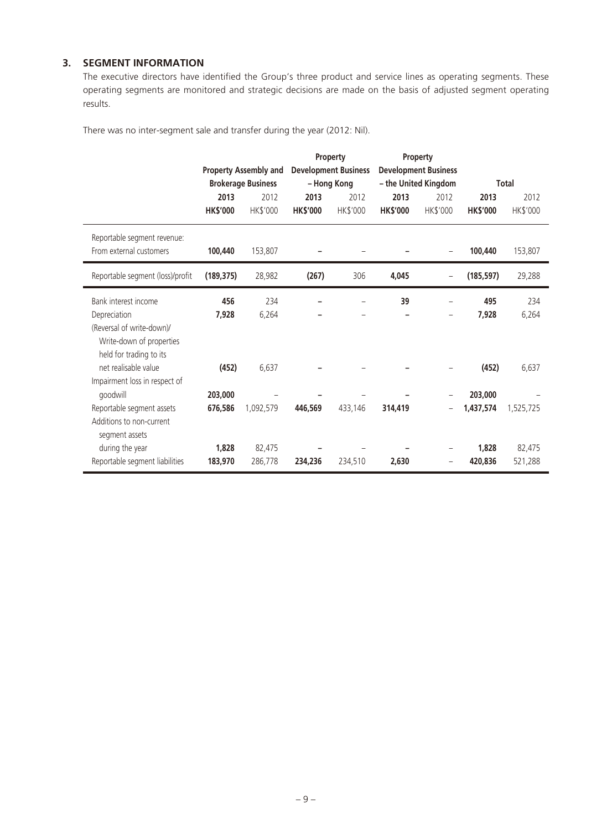# **3. SEGMENT INFORMATION**

The executive directors have identified the Group's three product and service lines as operating segments. These operating segments are monitored and strategic decisions are made on the basis of adjusted segment operating results.

There was no inter-segment sale and transfer during the year (2012: Nil).

|                                                        |                 |                              |                 | Property                    |                 | <b>Property</b>             |                 |              |
|--------------------------------------------------------|-----------------|------------------------------|-----------------|-----------------------------|-----------------|-----------------------------|-----------------|--------------|
|                                                        |                 | <b>Property Assembly and</b> |                 | <b>Development Business</b> |                 | <b>Development Business</b> |                 |              |
|                                                        |                 | <b>Brokerage Business</b>    |                 | - Hong Kong                 |                 | - the United Kingdom        |                 | <b>Total</b> |
|                                                        | 2013            | 2012                         | 2013            | 2012                        | 2013            | 2012                        | 2013            | 2012         |
|                                                        | <b>HK\$'000</b> | HK\$'000                     | <b>HK\$'000</b> | HK\$'000                    | <b>HK\$'000</b> | HK\$'000                    | <b>HK\$'000</b> | HK\$'000     |
| Reportable segment revenue:<br>From external customers | 100,440         | 153,807                      |                 |                             |                 |                             | 100,440         | 153,807      |
| Reportable segment (loss)/profit                       | (189, 375)      | 28,982                       | (267)           | 306                         | 4,045           |                             | (185, 597)      | 29,288       |
| Bank interest income                                   | 456             | 234                          |                 |                             | 39              |                             | 495             | 234          |
| Depreciation                                           | 7,928           | 6,264                        |                 |                             |                 | $\overline{\phantom{m}}$    | 7,928           | 6,264        |
| (Reversal of write-down)/                              |                 |                              |                 |                             |                 |                             |                 |              |
| Write-down of properties                               |                 |                              |                 |                             |                 |                             |                 |              |
| held for trading to its                                |                 |                              |                 |                             |                 |                             |                 |              |
| net realisable value                                   | (452)           | 6,637                        |                 |                             |                 |                             | (452)           | 6,637        |
| Impairment loss in respect of                          |                 |                              |                 |                             |                 |                             |                 |              |
| goodwill                                               | 203,000         |                              |                 |                             |                 |                             | 203,000         |              |
| Reportable segment assets                              | 676,586         | 1,092,579                    | 446,569         | 433,146                     | 314,419         |                             | 1,437,574       | 1,525,725    |
| Additions to non-current<br>segment assets             |                 |                              |                 |                             |                 |                             |                 |              |
| during the year                                        | 1,828           | 82,475                       |                 |                             |                 |                             | 1,828           | 82,475       |
| Reportable segment liabilities                         | 183,970         | 286,778                      | 234,236         | 234,510                     | 2,630           |                             | 420,836         | 521,288      |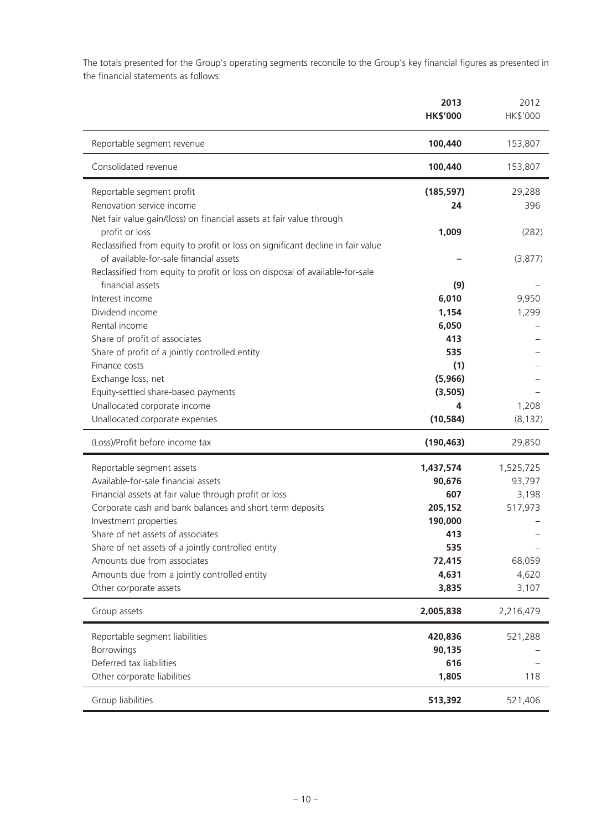The totals presented for the Group's operating segments reconcile to the Group's key financial figures as presented in the financial statements as follows:

|                                                                                 | 2013<br><b>HK\$'000</b> | 2012<br>HK\$'000 |
|---------------------------------------------------------------------------------|-------------------------|------------------|
| Reportable segment revenue                                                      | 100,440                 | 153,807          |
| Consolidated revenue                                                            | 100,440                 | 153,807          |
| Reportable segment profit                                                       | (185, 597)              | 29,288           |
| Renovation service income                                                       | 24                      | 396              |
| Net fair value gain/(loss) on financial assets at fair value through            |                         |                  |
| profit or loss                                                                  | 1,009                   | (282)            |
| Reclassified from equity to profit or loss on significant decline in fair value |                         |                  |
| of available-for-sale financial assets                                          |                         | (3,877)          |
| Reclassified from equity to profit or loss on disposal of available-for-sale    |                         |                  |
| financial assets                                                                | (9)                     |                  |
| Interest income                                                                 | 6,010                   | 9,950            |
| Dividend income                                                                 | 1,154                   | 1,299            |
| Rental income                                                                   | 6,050                   |                  |
| Share of profit of associates                                                   | 413<br>535              |                  |
| Share of profit of a jointly controlled entity<br>Finance costs                 |                         |                  |
| Exchange loss, net                                                              | (1)<br>(5,966)          |                  |
| Equity-settled share-based payments                                             | (3,505)                 |                  |
| Unallocated corporate income                                                    | 4                       | 1,208            |
| Unallocated corporate expenses                                                  | (10, 584)               | (8, 132)         |
| (Loss)/Profit before income tax                                                 | (190, 463)              | 29,850           |
|                                                                                 |                         |                  |
| Reportable segment assets                                                       | 1,437,574               | 1,525,725        |
| Available-for-sale financial assets                                             | 90,676                  | 93,797           |
| Financial assets at fair value through profit or loss                           | 607                     | 3,198            |
| Corporate cash and bank balances and short term deposits                        | 205,152                 | 517,973          |
| Investment properties                                                           | 190,000                 |                  |
| Share of net assets of associates                                               | 413                     |                  |
| Share of net assets of a jointly controlled entity                              | 535                     |                  |
| Amounts due from associates                                                     | 72,415                  | 68,059           |
| Amounts due from a jointly controlled entity                                    | 4,631                   | 4,620            |
| Other corporate assets                                                          | 3,835                   | 3,107            |
| Group assets                                                                    | 2,005,838               | 2,216,479        |
| Reportable segment liabilities                                                  | 420,836                 | 521,288          |
| Borrowings                                                                      | 90,135                  |                  |
| Deferred tax liabilities                                                        | 616                     |                  |
| Other corporate liabilities                                                     | 1,805                   | 118              |
|                                                                                 |                         |                  |
| Group liabilities                                                               | 513,392                 | 521,406          |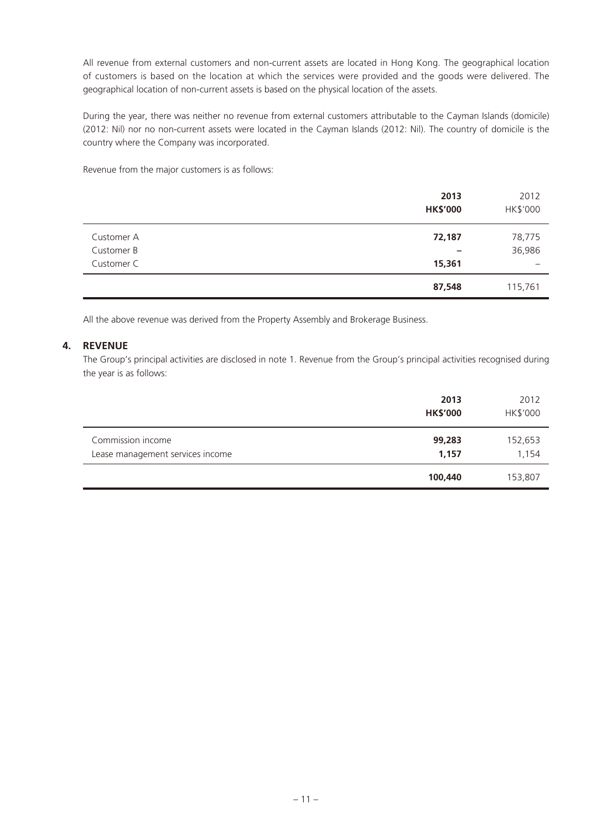All revenue from external customers and non-current assets are located in Hong Kong. The geographical location of customers is based on the location at which the services were provided and the goods were delivered. The geographical location of non-current assets is based on the physical location of the assets.

During the year, there was neither no revenue from external customers attributable to the Cayman Islands (domicile) (2012: Nil) nor no non-current assets were located in the Cayman Islands (2012: Nil). The country of domicile is the country where the Company was incorporated.

Revenue from the major customers is as follows:

|            | 2013<br><b>HK\$'000</b> | 2012<br>HK\$'000 |
|------------|-------------------------|------------------|
| Customer A | 72,187                  | 78,775           |
| Customer B |                         | 36,986           |
| Customer C | 15,361                  |                  |
|            | 87,548                  | 115,761          |

All the above revenue was derived from the Property Assembly and Brokerage Business.

# **4. REVENUE**

The Group's principal activities are disclosed in note 1. Revenue from the Group's principal activities recognised during the year is as follows:

|                                                       | 2013<br><b>HK\$'000</b> | 2012<br>HK\$'000 |
|-------------------------------------------------------|-------------------------|------------------|
| Commission income<br>Lease management services income | 99,283<br>1,157         | 152,653<br>1,154 |
|                                                       | 100,440                 | 153,807          |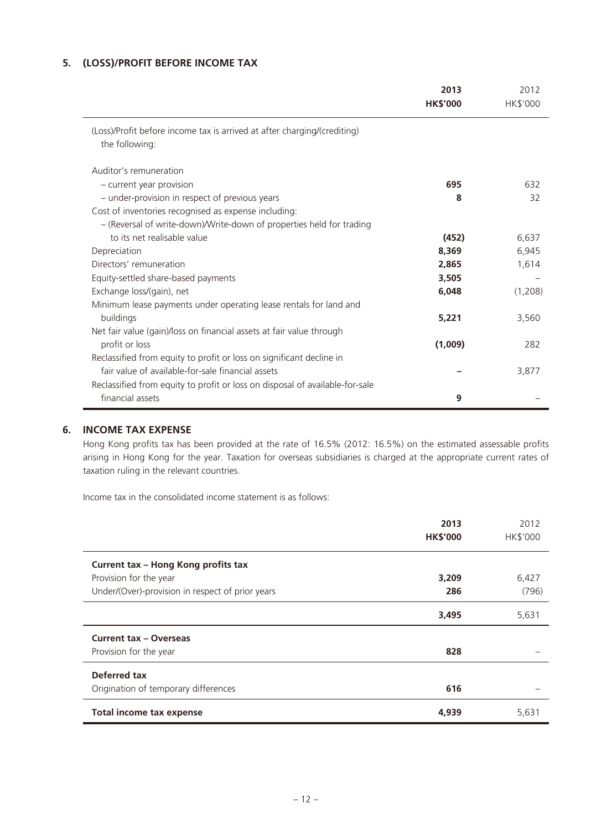# **5. (LOSS)/PROFIT BEFORE INCOME TAX**

|                                                                              | 2013<br><b>HK\$'000</b> | 2012<br><b>HK\$'000</b> |
|------------------------------------------------------------------------------|-------------------------|-------------------------|
| (Loss)/Profit before income tax is arrived at after charging/(crediting)     |                         |                         |
| the following:                                                               |                         |                         |
| Auditor's remuneration                                                       |                         |                         |
| - current year provision                                                     | 695                     | 632                     |
| - under-provision in respect of previous years                               | 8                       | 32                      |
| Cost of inventories recognised as expense including:                         |                         |                         |
| - (Reversal of write-down)/Write-down of properties held for trading         |                         |                         |
| to its net realisable value                                                  | (452)                   | 6,637                   |
| Depreciation                                                                 | 8,369                   | 6,945                   |
| Directors' remuneration                                                      | 2,865                   | 1,614                   |
| Equity-settled share-based payments                                          | 3,505                   |                         |
| Exchange loss/(gain), net                                                    | 6,048                   | (1,208)                 |
| Minimum lease payments under operating lease rentals for land and            |                         |                         |
| buildings                                                                    | 5,221                   | 3,560                   |
| Net fair value (gain)/loss on financial assets at fair value through         |                         |                         |
| profit or loss                                                               | (1,009)                 | 282                     |
| Reclassified from equity to profit or loss on significant decline in         |                         |                         |
| fair value of available-for-sale financial assets                            |                         | 3,877                   |
| Reclassified from equity to profit or loss on disposal of available-for-sale |                         |                         |
| financial assets                                                             | 9                       |                         |

# **6. INCOME TAX EXPENSE**

Hong Kong profits tax has been provided at the rate of 16.5% (2012: 16.5%) on the estimated assessable profits arising in Hong Kong for the year. Taxation for overseas subsidiaries is charged at the appropriate current rates of taxation ruling in the relevant countries.

Income tax in the consolidated income statement is as follows:

|                                                  | 2013<br><b>HK\$'000</b> | 2012<br><b>HK\$'000</b> |
|--------------------------------------------------|-------------------------|-------------------------|
| Current tax - Hong Kong profits tax              |                         |                         |
| Provision for the year                           | 3,209                   | 6,427                   |
| Under/(Over)-provision in respect of prior years | 286                     | (796)                   |
|                                                  | 3,495                   | 5,631                   |
| <b>Current tax - Overseas</b>                    |                         |                         |
| Provision for the year                           | 828                     |                         |
| Deferred tax                                     |                         |                         |
| Origination of temporary differences             | 616                     |                         |
| <b>Total income tax expense</b>                  | 4,939                   | 5,631                   |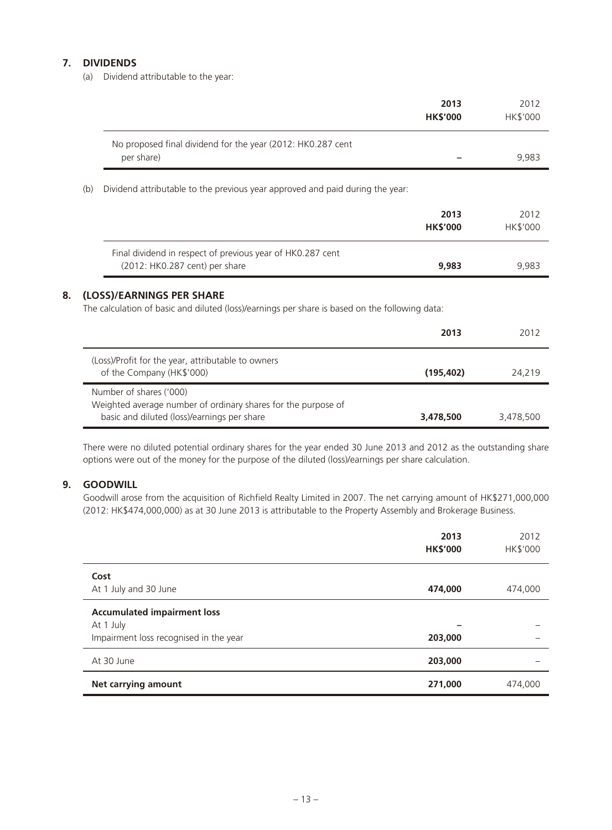# **7. DIVIDENDS**

(a) Dividend attributable to the year:

|    |     |                                                                                                                                         | 2013<br><b>HK\$'000</b> | 2012<br>HK\$'000 |
|----|-----|-----------------------------------------------------------------------------------------------------------------------------------------|-------------------------|------------------|
|    |     | No proposed final dividend for the year (2012: HK0.287 cent<br>per share)                                                               |                         | 9,983            |
|    | (b) | Dividend attributable to the previous year approved and paid during the year:                                                           |                         |                  |
|    |     |                                                                                                                                         | 2013<br><b>HK\$'000</b> | 2012<br>HK\$'000 |
|    |     | Final dividend in respect of previous year of HK0.287 cent<br>(2012: HK0.287 cent) per share                                            | 9,983                   | 9,983            |
| 8. |     | (LOSS)/EARNINGS PER SHARE<br>The calculation of basic and diluted (loss)/earnings per share is based on the following data:             |                         |                  |
|    |     |                                                                                                                                         | 2013                    | 2012             |
|    |     | (Loss)/Profit for the year, attributable to owners<br>of the Company (HK\$'000)                                                         | (195, 402)              | 24,219           |
|    |     | Number of shares ('000)<br>Weighted average number of ordinary shares for the purpose of<br>basic and diluted (loss)/earnings per share | 3,478,500               | 3,478,500        |

There were no diluted potential ordinary shares for the year ended 30 June 2013 and 2012 as the outstanding share options were out of the money for the purpose of the diluted (loss)/earnings per share calculation.

# **9. GOODWILL**

Goodwill arose from the acquisition of Richfield Realty Limited in 2007. The net carrying amount of HK\$271,000,000 (2012: HK\$474,000,000) as at 30 June 2013 is attributable to the Property Assembly and Brokerage Business.

|                                                                                           | 2013<br><b>HK\$'000</b> | 2012<br>HK\$'000 |
|-------------------------------------------------------------------------------------------|-------------------------|------------------|
| Cost<br>At 1 July and 30 June                                                             | 474,000                 | 474,000          |
| <b>Accumulated impairment loss</b><br>At 1 July<br>Impairment loss recognised in the year | 203,000                 |                  |
| At 30 June                                                                                | 203,000                 |                  |
| <b>Net carrying amount</b>                                                                | 271,000                 | 474.000          |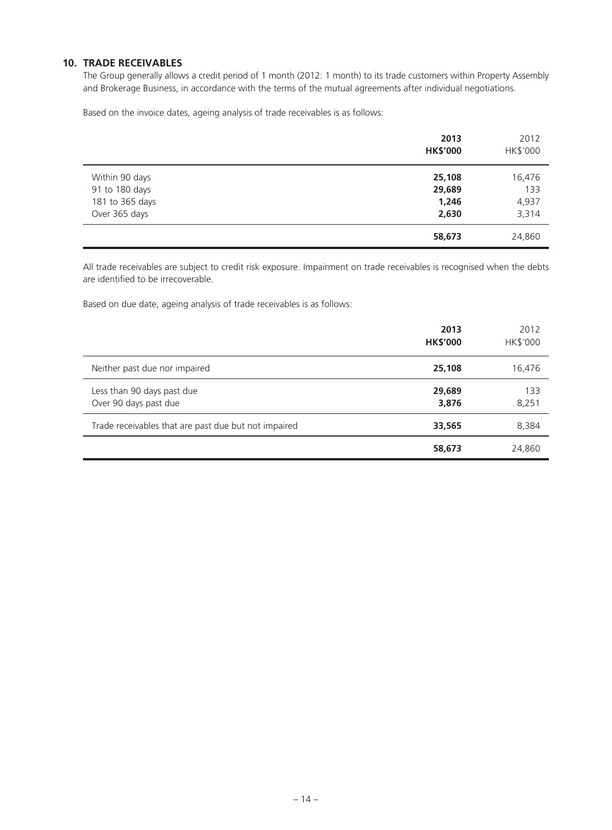### **10. TRADE RECEIVABLES**

The Group generally allows a credit period of 1 month (2012: 1 month) to its trade customers within Property Assembly and Brokerage Business, in accordance with the terms of the mutual agreements after individual negotiations.

Based on the invoice dates, ageing analysis of trade receivables is as follows:

|                 | 2013<br><b>HK\$'000</b> | 2012<br>HK\$'000 |
|-----------------|-------------------------|------------------|
| Within 90 days  | 25,108                  | 16,476           |
| 91 to 180 days  | 29,689                  | 133              |
| 181 to 365 days | 1,246                   | 4,937            |
| Over 365 days   | 2,630                   | 3,314            |
|                 | 58,673                  | 24,860           |

All trade receivables are subject to credit risk exposure. Impairment on trade receivables is recognised when the debts are identified to be irrecoverable.

Based on due date, ageing analysis of trade receivables is as follows:

|                                                      | 2013<br><b>HK\$'000</b> | 2012<br><b>HK\$'000</b> |
|------------------------------------------------------|-------------------------|-------------------------|
| Neither past due nor impaired                        | 25,108                  | 16,476                  |
| Less than 90 days past due<br>Over 90 days past due  | 29,689<br>3,876         | 133<br>8,251            |
| Trade receivables that are past due but not impaired | 33,565                  | 8,384                   |
|                                                      | 58,673                  | 24,860                  |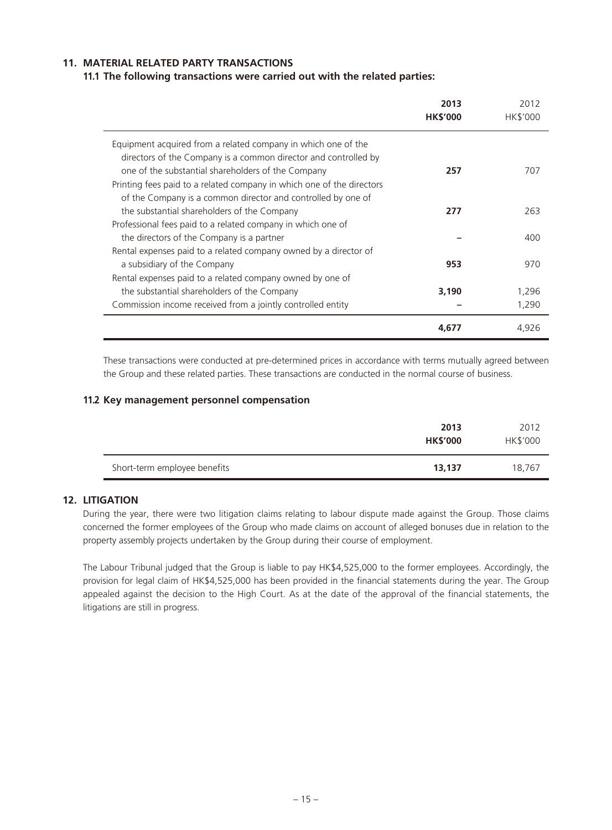# **11. MATERIAL RELATED PARTY TRANSACTIONS**

#### **11.1 The following transactions were carried out with the related parties:**

|                                                                                                                       | 2013<br><b>HK\$'000</b> | 2012<br>HK\$'000 |
|-----------------------------------------------------------------------------------------------------------------------|-------------------------|------------------|
| Equipment acquired from a related company in which one of the                                                         |                         |                  |
| directors of the Company is a common director and controlled by<br>one of the substantial shareholders of the Company | 257                     | 707              |
| Printing fees paid to a related company in which one of the directors                                                 |                         |                  |
| of the Company is a common director and controlled by one of                                                          |                         |                  |
| the substantial shareholders of the Company                                                                           | 277                     | 263              |
| Professional fees paid to a related company in which one of                                                           |                         |                  |
| the directors of the Company is a partner                                                                             |                         | 400              |
| Rental expenses paid to a related company owned by a director of                                                      |                         |                  |
| a subsidiary of the Company                                                                                           | 953                     | 970              |
| Rental expenses paid to a related company owned by one of                                                             |                         |                  |
| the substantial shareholders of the Company                                                                           | 3,190                   | 1,296            |
| Commission income received from a jointly controlled entity                                                           |                         | 1,290            |
|                                                                                                                       | 4.677                   | 4,926            |

These transactions were conducted at pre-determined prices in accordance with terms mutually agreed between the Group and these related parties. These transactions are conducted in the normal course of business.

#### **11.2 Key management personnel compensation**

|                              | 2013<br><b>HK\$'000</b> | 2012<br>HK\$'000 |
|------------------------------|-------------------------|------------------|
| Short-term employee benefits | 13,137                  | 18.767           |

# **12. LITIGATION**

During the year, there were two litigation claims relating to labour dispute made against the Group. Those claims concerned the former employees of the Group who made claims on account of alleged bonuses due in relation to the property assembly projects undertaken by the Group during their course of employment.

The Labour Tribunal judged that the Group is liable to pay HK\$4,525,000 to the former employees. Accordingly, the provision for legal claim of HK\$4,525,000 has been provided in the financial statements during the year. The Group appealed against the decision to the High Court. As at the date of the approval of the financial statements, the litigations are still in progress.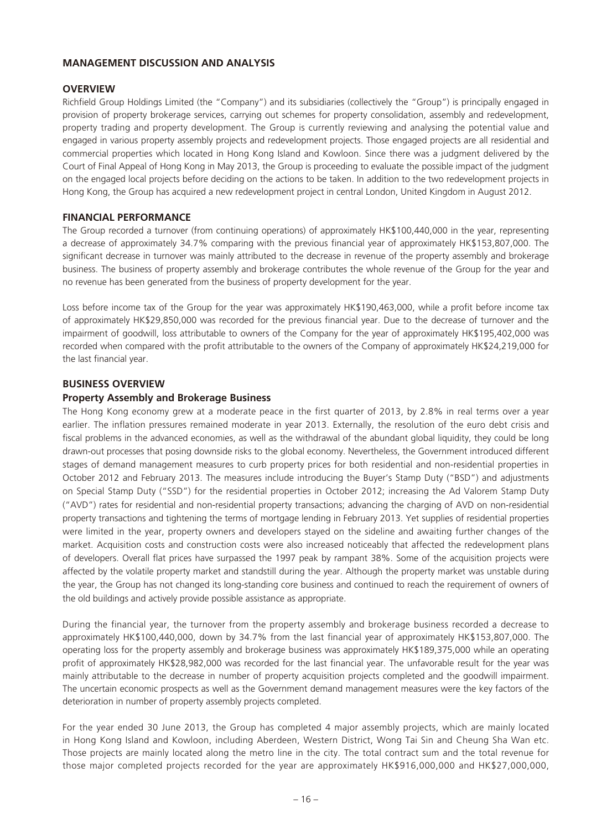# **MANAGEMENT DISCUSSION AND ANALYSIS**

# **OVERVIEW**

Richfield Group Holdings Limited (the "Company") and its subsidiaries (collectively the "Group") is principally engaged in provision of property brokerage services, carrying out schemes for property consolidation, assembly and redevelopment, property trading and property development. The Group is currently reviewing and analysing the potential value and engaged in various property assembly projects and redevelopment projects. Those engaged projects are all residential and commercial properties which located in Hong Kong Island and Kowloon. Since there was a judgment delivered by the Court of Final Appeal of Hong Kong in May 2013, the Group is proceeding to evaluate the possible impact of the judgment on the engaged local projects before deciding on the actions to be taken. In addition to the two redevelopment projects in Hong Kong, the Group has acquired a new redevelopment project in central London, United Kingdom in August 2012.

# **FINANCIAL PERFORMANCE**

The Group recorded a turnover (from continuing operations) of approximately HK\$100,440,000 in the year, representing a decrease of approximately 34.7% comparing with the previous financial year of approximately HK\$153,807,000. The significant decrease in turnover was mainly attributed to the decrease in revenue of the property assembly and brokerage business. The business of property assembly and brokerage contributes the whole revenue of the Group for the year and no revenue has been generated from the business of property development for the year.

Loss before income tax of the Group for the year was approximately HK\$190,463,000, while a profit before income tax of approximately HK\$29,850,000 was recorded for the previous financial year. Due to the decrease of turnover and the impairment of goodwill, loss attributable to owners of the Company for the year of approximately HK\$195,402,000 was recorded when compared with the profit attributable to the owners of the Company of approximately HK\$24,219,000 for the last financial year.

# **BUSINESS OVERVIEW**

#### **Property Assembly and Brokerage Business**

The Hong Kong economy grew at a moderate peace in the first quarter of 2013, by 2.8% in real terms over a year earlier. The inflation pressures remained moderate in year 2013. Externally, the resolution of the euro debt crisis and fiscal problems in the advanced economies, as well as the withdrawal of the abundant global liquidity, they could be long drawn-out processes that posing downside risks to the global economy. Nevertheless, the Government introduced different stages of demand management measures to curb property prices for both residential and non-residential properties in October 2012 and February 2013. The measures include introducing the Buyer's Stamp Duty ("BSD") and adjustments on Special Stamp Duty ("SSD") for the residential properties in October 2012; increasing the Ad Valorem Stamp Duty ("AVD") rates for residential and non-residential property transactions; advancing the charging of AVD on non-residential property transactions and tightening the terms of mortgage lending in February 2013. Yet supplies of residential properties were limited in the year, property owners and developers stayed on the sideline and awaiting further changes of the market. Acquisition costs and construction costs were also increased noticeably that affected the redevelopment plans of developers. Overall flat prices have surpassed the 1997 peak by rampant 38%. Some of the acquisition projects were affected by the volatile property market and standstill during the year. Although the property market was unstable during the year, the Group has not changed its long-standing core business and continued to reach the requirement of owners of the old buildings and actively provide possible assistance as appropriate.

During the financial year, the turnover from the property assembly and brokerage business recorded a decrease to approximately HK\$100,440,000, down by 34.7% from the last financial year of approximately HK\$153,807,000. The operating loss for the property assembly and brokerage business was approximately HK\$189,375,000 while an operating profit of approximately HK\$28,982,000 was recorded for the last financial year. The unfavorable result for the year was mainly attributable to the decrease in number of property acquisition projects completed and the goodwill impairment. The uncertain economic prospects as well as the Government demand management measures were the key factors of the deterioration in number of property assembly projects completed.

For the year ended 30 June 2013, the Group has completed 4 major assembly projects, which are mainly located in Hong Kong Island and Kowloon, including Aberdeen, Western District, Wong Tai Sin and Cheung Sha Wan etc. Those projects are mainly located along the metro line in the city. The total contract sum and the total revenue for those major completed projects recorded for the year are approximately HK\$916,000,000 and HK\$27,000,000,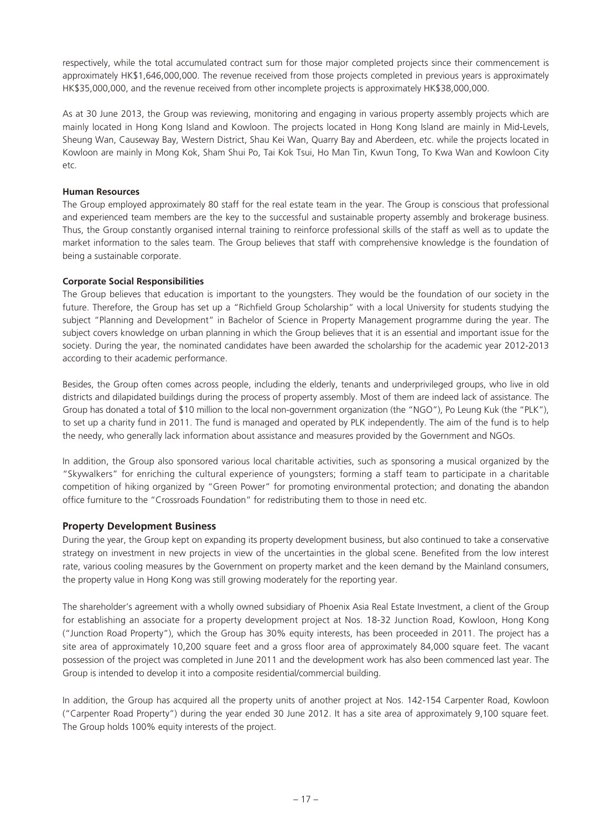respectively, while the total accumulated contract sum for those major completed projects since their commencement is approximately HK\$1,646,000,000. The revenue received from those projects completed in previous years is approximately HK\$35,000,000, and the revenue received from other incomplete projects is approximately HK\$38,000,000.

As at 30 June 2013, the Group was reviewing, monitoring and engaging in various property assembly projects which are mainly located in Hong Kong Island and Kowloon. The projects located in Hong Kong Island are mainly in Mid-Levels, Sheung Wan, Causeway Bay, Western District, Shau Kei Wan, Quarry Bay and Aberdeen, etc. while the projects located in Kowloon are mainly in Mong Kok, Sham Shui Po, Tai Kok Tsui, Ho Man Tin, Kwun Tong, To Kwa Wan and Kowloon City etc.

#### **Human Resources**

The Group employed approximately 80 staff for the real estate team in the year. The Group is conscious that professional and experienced team members are the key to the successful and sustainable property assembly and brokerage business. Thus, the Group constantly organised internal training to reinforce professional skills of the staff as well as to update the market information to the sales team. The Group believes that staff with comprehensive knowledge is the foundation of being a sustainable corporate.

#### **Corporate Social Responsibilities**

The Group believes that education is important to the youngsters. They would be the foundation of our society in the future. Therefore, the Group has set up a "Richfield Group Scholarship" with a local University for students studying the subject "Planning and Development" in Bachelor of Science in Property Management programme during the year. The subject covers knowledge on urban planning in which the Group believes that it is an essential and important issue for the society. During the year, the nominated candidates have been awarded the scholarship for the academic year 2012-2013 according to their academic performance.

Besides, the Group often comes across people, including the elderly, tenants and underprivileged groups, who live in old districts and dilapidated buildings during the process of property assembly. Most of them are indeed lack of assistance. The Group has donated a total of \$10 million to the local non-government organization (the "NGO"), Po Leung Kuk (the "PLK"), to set up a charity fund in 2011. The fund is managed and operated by PLK independently. The aim of the fund is to help the needy, who generally lack information about assistance and measures provided by the Government and NGOs.

In addition, the Group also sponsored various local charitable activities, such as sponsoring a musical organized by the "Skywalkers" for enriching the cultural experience of youngsters; forming a staff team to participate in a charitable competition of hiking organized by "Green Power" for promoting environmental protection; and donating the abandon office furniture to the "Crossroads Foundation" for redistributing them to those in need etc.

# **Property Development Business**

During the year, the Group kept on expanding its property development business, but also continued to take a conservative strategy on investment in new projects in view of the uncertainties in the global scene. Benefited from the low interest rate, various cooling measures by the Government on property market and the keen demand by the Mainland consumers, the property value in Hong Kong was still growing moderately for the reporting year.

The shareholder's agreement with a wholly owned subsidiary of Phoenix Asia Real Estate Investment, a client of the Group for establishing an associate for a property development project at Nos. 18-32 Junction Road, Kowloon, Hong Kong ("Junction Road Property"), which the Group has 30% equity interests, has been proceeded in 2011. The project has a site area of approximately 10,200 square feet and a gross floor area of approximately 84,000 square feet. The vacant possession of the project was completed in June 2011 and the development work has also been commenced last year. The Group is intended to develop it into a composite residential/commercial building.

In addition, the Group has acquired all the property units of another project at Nos. 142-154 Carpenter Road, Kowloon ("Carpenter Road Property") during the year ended 30 June 2012. It has a site area of approximately 9,100 square feet. The Group holds 100% equity interests of the project.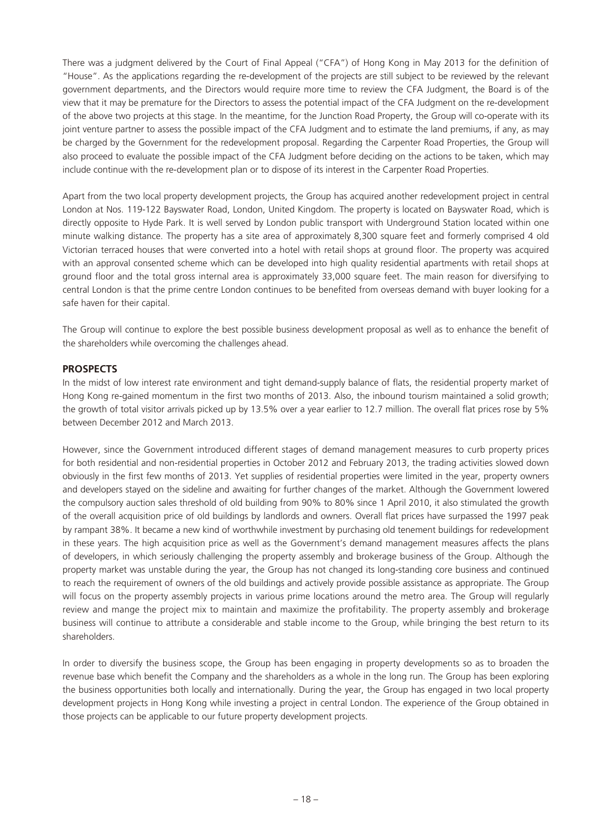There was a judgment delivered by the Court of Final Appeal ("CFA") of Hong Kong in May 2013 for the definition of "House". As the applications regarding the re-development of the projects are still subject to be reviewed by the relevant government departments, and the Directors would require more time to review the CFA Judgment, the Board is of the view that it may be premature for the Directors to assess the potential impact of the CFA Judgment on the re-development of the above two projects at this stage. In the meantime, for the Junction Road Property, the Group will co-operate with its joint venture partner to assess the possible impact of the CFA Judgment and to estimate the land premiums, if any, as may be charged by the Government for the redevelopment proposal. Regarding the Carpenter Road Properties, the Group will also proceed to evaluate the possible impact of the CFA Judgment before deciding on the actions to be taken, which may include continue with the re-development plan or to dispose of its interest in the Carpenter Road Properties.

Apart from the two local property development projects, the Group has acquired another redevelopment project in central London at Nos. 119-122 Bayswater Road, London, United Kingdom. The property is located on Bayswater Road, which is directly opposite to Hyde Park. It is well served by London public transport with Underground Station located within one minute walking distance. The property has a site area of approximately 8,300 square feet and formerly comprised 4 old Victorian terraced houses that were converted into a hotel with retail shops at ground floor. The property was acquired with an approval consented scheme which can be developed into high quality residential apartments with retail shops at ground floor and the total gross internal area is approximately 33,000 square feet. The main reason for diversifying to central London is that the prime centre London continues to be benefited from overseas demand with buyer looking for a safe haven for their capital.

The Group will continue to explore the best possible business development proposal as well as to enhance the benefit of the shareholders while overcoming the challenges ahead.

# **PROSPECTS**

In the midst of low interest rate environment and tight demand-supply balance of flats, the residential property market of Hong Kong re-gained momentum in the first two months of 2013. Also, the inbound tourism maintained a solid growth; the growth of total visitor arrivals picked up by 13.5% over a year earlier to 12.7 million. The overall flat prices rose by 5% between December 2012 and March 2013.

However, since the Government introduced different stages of demand management measures to curb property prices for both residential and non-residential properties in October 2012 and February 2013, the trading activities slowed down obviously in the first few months of 2013. Yet supplies of residential properties were limited in the year, property owners and developers stayed on the sideline and awaiting for further changes of the market. Although the Government lowered the compulsory auction sales threshold of old building from 90% to 80% since 1 April 2010, it also stimulated the growth of the overall acquisition price of old buildings by landlords and owners. Overall flat prices have surpassed the 1997 peak by rampant 38%. It became a new kind of worthwhile investment by purchasing old tenement buildings for redevelopment in these years. The high acquisition price as well as the Government's demand management measures affects the plans of developers, in which seriously challenging the property assembly and brokerage business of the Group. Although the property market was unstable during the year, the Group has not changed its long-standing core business and continued to reach the requirement of owners of the old buildings and actively provide possible assistance as appropriate. The Group will focus on the property assembly projects in various prime locations around the metro area. The Group will regularly review and mange the project mix to maintain and maximize the profitability. The property assembly and brokerage business will continue to attribute a considerable and stable income to the Group, while bringing the best return to its shareholders.

In order to diversify the business scope, the Group has been engaging in property developments so as to broaden the revenue base which benefit the Company and the shareholders as a whole in the long run. The Group has been exploring the business opportunities both locally and internationally. During the year, the Group has engaged in two local property development projects in Hong Kong while investing a project in central London. The experience of the Group obtained in those projects can be applicable to our future property development projects.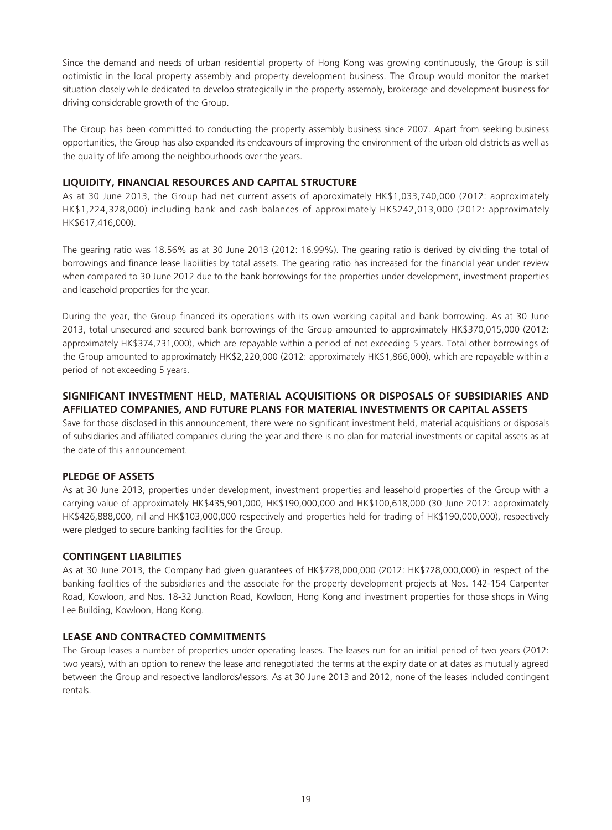Since the demand and needs of urban residential property of Hong Kong was growing continuously, the Group is still optimistic in the local property assembly and property development business. The Group would monitor the market situation closely while dedicated to develop strategically in the property assembly, brokerage and development business for driving considerable growth of the Group.

The Group has been committed to conducting the property assembly business since 2007. Apart from seeking business opportunities, the Group has also expanded its endeavours of improving the environment of the urban old districts as well as the quality of life among the neighbourhoods over the years.

# **LIQUIDITY, FINANCIAL RESOURCES AND CAPITAL STRUCTURE**

As at 30 June 2013, the Group had net current assets of approximately HK\$1,033,740,000 (2012: approximately HK\$1,224,328,000) including bank and cash balances of approximately HK\$242,013,000 (2012: approximately HK\$617,416,000).

The gearing ratio was 18.56% as at 30 June 2013 (2012: 16.99%). The gearing ratio is derived by dividing the total of borrowings and finance lease liabilities by total assets. The gearing ratio has increased for the financial year under review when compared to 30 June 2012 due to the bank borrowings for the properties under development, investment properties and leasehold properties for the year.

During the year, the Group financed its operations with its own working capital and bank borrowing. As at 30 June 2013, total unsecured and secured bank borrowings of the Group amounted to approximately HK\$370,015,000 (2012: approximately HK\$374,731,000), which are repayable within a period of not exceeding 5 years. Total other borrowings of the Group amounted to approximately HK\$2,220,000 (2012: approximately HK\$1,866,000), which are repayable within a period of not exceeding 5 years.

# **SIGNIFICANT INVESTMENT HELD, MATERIAL ACQUISITIONS OR DISPOSALS OF SUBSIDIARIES AND AFFILIATED COMPANIES, AND FUTURE PLANS FOR MATERIAL INVESTMENTS OR CAPITAL ASSETS**

Save for those disclosed in this announcement, there were no significant investment held, material acquisitions or disposals of subsidiaries and affiliated companies during the year and there is no plan for material investments or capital assets as at the date of this announcement.

# **PLEDGE OF ASSETS**

As at 30 June 2013, properties under development, investment properties and leasehold properties of the Group with a carrying value of approximately HK\$435,901,000, HK\$190,000,000 and HK\$100,618,000 (30 June 2012: approximately HK\$426,888,000, nil and HK\$103,000,000 respectively and properties held for trading of HK\$190,000,000), respectively were pledged to secure banking facilities for the Group.

# **CONTINGENT LIABILITIES**

As at 30 June 2013, the Company had given guarantees of HK\$728,000,000 (2012: HK\$728,000,000) in respect of the banking facilities of the subsidiaries and the associate for the property development projects at Nos. 142-154 Carpenter Road, Kowloon, and Nos. 18-32 Junction Road, Kowloon, Hong Kong and investment properties for those shops in Wing Lee Building, Kowloon, Hong Kong.

# **LEASE AND CONTRACTED COMMITMENTS**

The Group leases a number of properties under operating leases. The leases run for an initial period of two years (2012: two years), with an option to renew the lease and renegotiated the terms at the expiry date or at dates as mutually agreed between the Group and respective landlords/lessors. As at 30 June 2013 and 2012, none of the leases included contingent rentals.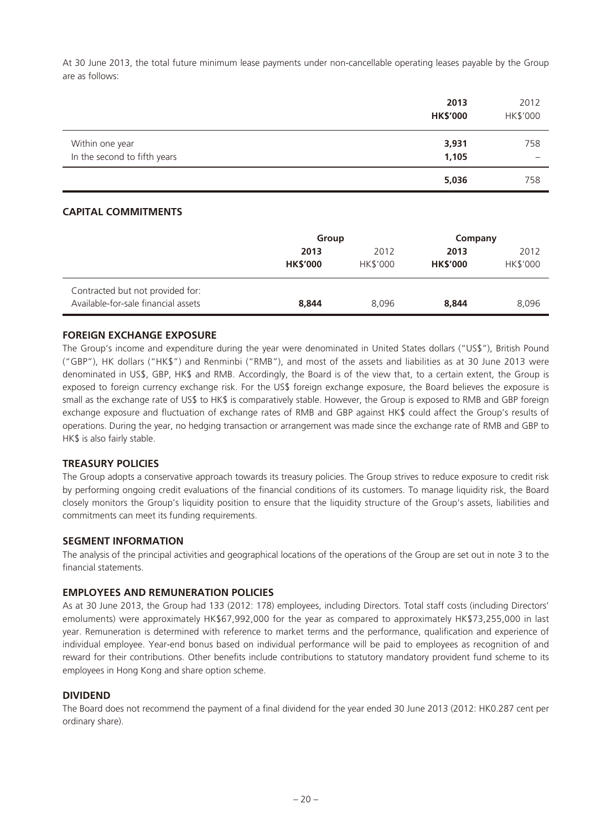At 30 June 2013, the total future minimum lease payments under non-cancellable operating leases payable by the Group are as follows:

|                              | 2013<br><b>HK\$'000</b> | 2012<br>HK\$'000 |
|------------------------------|-------------------------|------------------|
| Within one year              | 3,931                   | 758              |
| In the second to fifth years | 1,105                   |                  |
|                              | 5,036                   | 758              |

# **CAPITAL COMMITMENTS**

|                                                                         | Group                   |                  | Company                 |                  |
|-------------------------------------------------------------------------|-------------------------|------------------|-------------------------|------------------|
|                                                                         | 2013<br><b>HK\$'000</b> | 2012<br>HK\$'000 | 2013<br><b>HK\$'000</b> | 2012<br>HK\$'000 |
| Contracted but not provided for:<br>Available-for-sale financial assets | 8,844                   | 8.096            | 8,844                   | 8,096            |

#### **FOREIGN EXCHANGE EXPOSURE**

The Group's income and expenditure during the year were denominated in United States dollars ("US\$"), British Pound ("GBP"), HK dollars ("HK\$") and Renminbi ("RMB"), and most of the assets and liabilities as at 30 June 2013 were denominated in US\$, GBP, HK\$ and RMB. Accordingly, the Board is of the view that, to a certain extent, the Group is exposed to foreign currency exchange risk. For the US\$ foreign exchange exposure, the Board believes the exposure is small as the exchange rate of US\$ to HK\$ is comparatively stable. However, the Group is exposed to RMB and GBP foreign exchange exposure and fluctuation of exchange rates of RMB and GBP against HK\$ could affect the Group's results of operations. During the year, no hedging transaction or arrangement was made since the exchange rate of RMB and GBP to HK\$ is also fairly stable.

#### **TREASURY POLICIES**

The Group adopts a conservative approach towards its treasury policies. The Group strives to reduce exposure to credit risk by performing ongoing credit evaluations of the financial conditions of its customers. To manage liquidity risk, the Board closely monitors the Group's liquidity position to ensure that the liquidity structure of the Group's assets, liabilities and commitments can meet its funding requirements.

#### **SEGMENT INFORMATION**

The analysis of the principal activities and geographical locations of the operations of the Group are set out in note 3 to the financial statements.

#### **EMPLOYEES AND REMUNERATION POLICIES**

As at 30 June 2013, the Group had 133 (2012: 178) employees, including Directors. Total staff costs (including Directors' emoluments) were approximately HK\$67,992,000 for the year as compared to approximately HK\$73,255,000 in last year. Remuneration is determined with reference to market terms and the performance, qualification and experience of individual employee. Year-end bonus based on individual performance will be paid to employees as recognition of and reward for their contributions. Other benefits include contributions to statutory mandatory provident fund scheme to its employees in Hong Kong and share option scheme.

#### **DIVIDEND**

The Board does not recommend the payment of a final dividend for the year ended 30 June 2013 (2012: HK0.287 cent per ordinary share).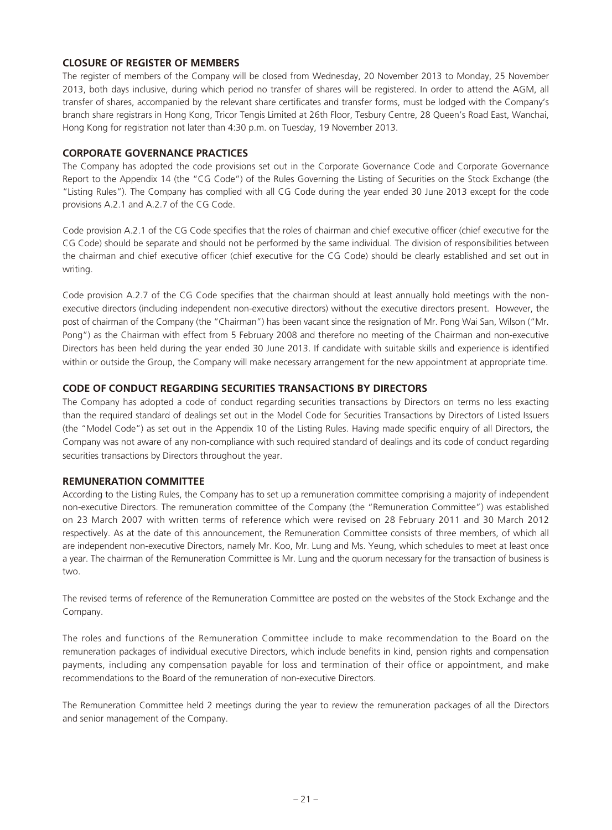# **CLOSURE OF REGISTER OF MEMBERS**

The register of members of the Company will be closed from Wednesday, 20 November 2013 to Monday, 25 November 2013, both days inclusive, during which period no transfer of shares will be registered. In order to attend the AGM, all transfer of shares, accompanied by the relevant share certificates and transfer forms, must be lodged with the Company's branch share registrars in Hong Kong, Tricor Tengis Limited at 26th Floor, Tesbury Centre, 28 Queen's Road East, Wanchai, Hong Kong for registration not later than 4:30 p.m. on Tuesday, 19 November 2013.

# **CORPORATE GOVERNANCE PRACTICES**

The Company has adopted the code provisions set out in the Corporate Governance Code and Corporate Governance Report to the Appendix 14 (the "CG Code") of the Rules Governing the Listing of Securities on the Stock Exchange (the "Listing Rules"). The Company has complied with all CG Code during the year ended 30 June 2013 except for the code provisions A.2.1 and A.2.7 of the CG Code.

Code provision A.2.1 of the CG Code specifies that the roles of chairman and chief executive officer (chief executive for the CG Code) should be separate and should not be performed by the same individual. The division of responsibilities between the chairman and chief executive officer (chief executive for the CG Code) should be clearly established and set out in writing.

Code provision A.2.7 of the CG Code specifies that the chairman should at least annually hold meetings with the nonexecutive directors (including independent non-executive directors) without the executive directors present. However, the post of chairman of the Company (the "Chairman") has been vacant since the resignation of Mr. Pong Wai San, Wilson ("Mr. Pong") as the Chairman with effect from 5 February 2008 and therefore no meeting of the Chairman and non-executive Directors has been held during the year ended 30 June 2013. If candidate with suitable skills and experience is identified within or outside the Group, the Company will make necessary arrangement for the new appointment at appropriate time.

# **CODE OF CONDUCT REGARDING SECURITIES TRANSACTIONS BY DIRECTORS**

The Company has adopted a code of conduct regarding securities transactions by Directors on terms no less exacting than the required standard of dealings set out in the Model Code for Securities Transactions by Directors of Listed Issuers (the "Model Code") as set out in the Appendix 10 of the Listing Rules. Having made specific enquiry of all Directors, the Company was not aware of any non-compliance with such required standard of dealings and its code of conduct regarding securities transactions by Directors throughout the year.

# **REMUNERATION COMMITTEE**

According to the Listing Rules, the Company has to set up a remuneration committee comprising a majority of independent non-executive Directors. The remuneration committee of the Company (the "Remuneration Committee") was established on 23 March 2007 with written terms of reference which were revised on 28 February 2011 and 30 March 2012 respectively. As at the date of this announcement, the Remuneration Committee consists of three members, of which all are independent non-executive Directors, namely Mr. Koo, Mr. Lung and Ms. Yeung, which schedules to meet at least once a year. The chairman of the Remuneration Committee is Mr. Lung and the quorum necessary for the transaction of business is two.

The revised terms of reference of the Remuneration Committee are posted on the websites of the Stock Exchange and the Company.

The roles and functions of the Remuneration Committee include to make recommendation to the Board on the remuneration packages of individual executive Directors, which include benefits in kind, pension rights and compensation payments, including any compensation payable for loss and termination of their office or appointment, and make recommendations to the Board of the remuneration of non-executive Directors.

The Remuneration Committee held 2 meetings during the year to review the remuneration packages of all the Directors and senior management of the Company.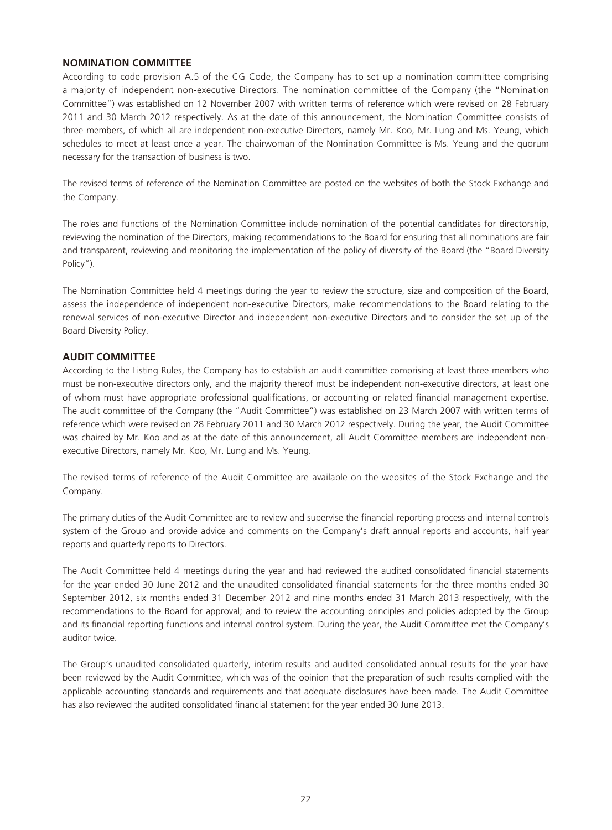### **NOMINATION COMMITTEE**

According to code provision A.5 of the CG Code, the Company has to set up a nomination committee comprising a majority of independent non-executive Directors. The nomination committee of the Company (the "Nomination Committee") was established on 12 November 2007 with written terms of reference which were revised on 28 February 2011 and 30 March 2012 respectively. As at the date of this announcement, the Nomination Committee consists of three members, of which all are independent non-executive Directors, namely Mr. Koo, Mr. Lung and Ms. Yeung, which schedules to meet at least once a year. The chairwoman of the Nomination Committee is Ms. Yeung and the quorum necessary for the transaction of business is two.

The revised terms of reference of the Nomination Committee are posted on the websites of both the Stock Exchange and the Company.

The roles and functions of the Nomination Committee include nomination of the potential candidates for directorship, reviewing the nomination of the Directors, making recommendations to the Board for ensuring that all nominations are fair and transparent, reviewing and monitoring the implementation of the policy of diversity of the Board (the "Board Diversity Policy").

The Nomination Committee held 4 meetings during the year to review the structure, size and composition of the Board, assess the independence of independent non-executive Directors, make recommendations to the Board relating to the renewal services of non-executive Director and independent non-executive Directors and to consider the set up of the Board Diversity Policy.

# **AUDIT COMMITTEE**

According to the Listing Rules, the Company has to establish an audit committee comprising at least three members who must be non-executive directors only, and the majority thereof must be independent non-executive directors, at least one of whom must have appropriate professional qualifications, or accounting or related financial management expertise. The audit committee of the Company (the "Audit Committee") was established on 23 March 2007 with written terms of reference which were revised on 28 February 2011 and 30 March 2012 respectively. During the year, the Audit Committee was chaired by Mr. Koo and as at the date of this announcement, all Audit Committee members are independent nonexecutive Directors, namely Mr. Koo, Mr. Lung and Ms. Yeung.

The revised terms of reference of the Audit Committee are available on the websites of the Stock Exchange and the Company.

The primary duties of the Audit Committee are to review and supervise the financial reporting process and internal controls system of the Group and provide advice and comments on the Company's draft annual reports and accounts, half year reports and quarterly reports to Directors.

The Audit Committee held 4 meetings during the year and had reviewed the audited consolidated financial statements for the year ended 30 June 2012 and the unaudited consolidated financial statements for the three months ended 30 September 2012, six months ended 31 December 2012 and nine months ended 31 March 2013 respectively, with the recommendations to the Board for approval; and to review the accounting principles and policies adopted by the Group and its financial reporting functions and internal control system. During the year, the Audit Committee met the Company's auditor twice.

The Group's unaudited consolidated quarterly, interim results and audited consolidated annual results for the year have been reviewed by the Audit Committee, which was of the opinion that the preparation of such results complied with the applicable accounting standards and requirements and that adequate disclosures have been made. The Audit Committee has also reviewed the audited consolidated financial statement for the year ended 30 June 2013.